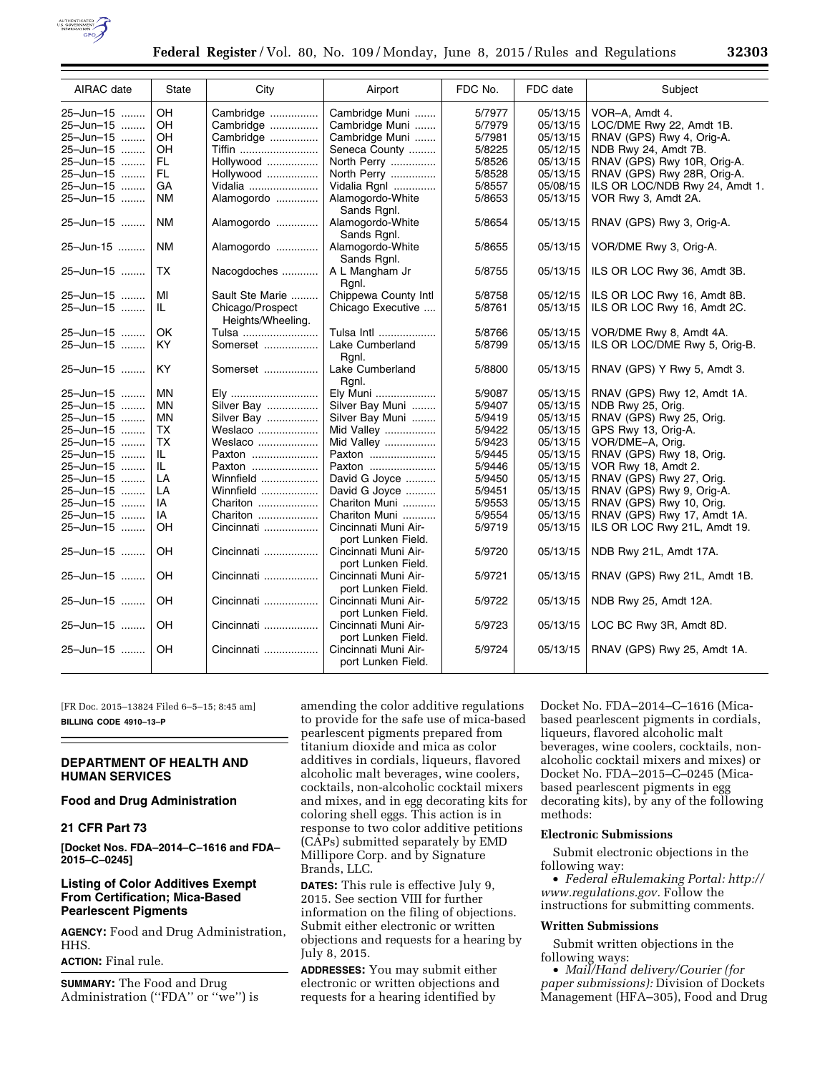

| AIRAC date | <b>State</b> | City                                  | Airport                                    | FDC No. | FDC date | Subject                        |
|------------|--------------|---------------------------------------|--------------------------------------------|---------|----------|--------------------------------|
| 25-Jun-15  | OH           | Cambridge                             | Cambridge Muni                             | 5/7977  | 05/13/15 | VOR-A, Amdt 4.                 |
| 25-Jun-15  | OH           | Cambridge                             | Cambridge Muni                             | 5/7979  | 05/13/15 | LOC/DME Rwy 22, Amdt 1B.       |
| 25-Jun-15  | OH           | Cambridge                             | Cambridge Muni                             | 5/7981  | 05/13/15 | RNAV (GPS) Rwy 4, Orig-A.      |
| 25-Jun-15  | OH           | <b>Tiffin</b>                         | Seneca County                              | 5/8225  | 05/12/15 | NDB Rwy 24, Amdt 7B.           |
| 25-Jun-15  | FL.          | Hollywood                             | North Perry                                | 5/8526  | 05/13/15 | RNAV (GPS) Rwy 10R, Orig-A.    |
| 25-Jun-15  | FL.          | Hollywood                             | North Perry                                | 5/8528  | 05/13/15 | RNAV (GPS) Rwy 28R, Orig-A.    |
| 25-Jun-15  | GA           | Vidalia                               | Vidalia Rgnl                               | 5/8557  | 05/08/15 | ILS OR LOC/NDB Rwy 24, Amdt 1. |
| 25-Jun-15  | <b>NM</b>    | Alamogordo                            | Alamogordo-White<br>Sands Rgnl.            | 5/8653  | 05/13/15 | VOR Rwy 3, Amdt 2A.            |
| 25-Jun-15  | <b>NM</b>    | Alamogordo                            | Alamogordo-White<br>Sands Rgnl.            | 5/8654  | 05/13/15 | RNAV (GPS) Rwy 3, Orig-A.      |
| 25-Jun-15  | <b>NM</b>    | Alamogordo                            | Alamogordo-White<br>Sands Rgnl.            | 5/8655  | 05/13/15 | VOR/DME Rwy 3, Orig-A.         |
| 25-Jun-15  | <b>TX</b>    | Nacogdoches                           | A L Mangham Jr<br>Rgnl.                    | 5/8755  | 05/13/15 | ILS OR LOC Rwy 36, Amdt 3B.    |
| 25-Jun-15  | MI           | Sault Ste Marie                       | Chippewa County Intl                       | 5/8758  | 05/12/15 | ILS OR LOC Rwy 16, Amdt 8B.    |
| 25-Jun-15  | IL.          | Chicago/Prospect<br>Heights/Wheeling. | Chicago Executive                          | 5/8761  | 05/13/15 | ILS OR LOC Rwy 16, Amdt 2C.    |
| 25-Jun-15  | OK           | Tulsa                                 | Tulsa Intl                                 | 5/8766  | 05/13/15 | VOR/DME Rwy 8, Amdt 4A.        |
| 25-Jun-15  | <b>KY</b>    | Somerset                              | Lake Cumberland<br>Rgnl.                   | 5/8799  | 05/13/15 | ILS OR LOC/DME Rwy 5, Orig-B.  |
| 25-Jun-15  | KY.          | Somerset                              | Lake Cumberland<br>Rgnl.                   | 5/8800  | 05/13/15 | RNAV (GPS) Y Rwy 5, Amdt 3.    |
| 25-Jun-15  | <b>MN</b>    | Ely                                   | Ely Muni                                   | 5/9087  | 05/13/15 | RNAV (GPS) Rwy 12, Amdt 1A.    |
| 25-Jun-15  | <b>MN</b>    | Silver Bay                            | Silver Bay Muni                            | 5/9407  | 05/13/15 | NDB Rwy 25, Orig.              |
| 25-Jun-15  | MN           | Silver Bay                            | Silver Bay Muni                            | 5/9419  | 05/13/15 | RNAV (GPS) Rwy 25, Orig.       |
| 25-Jun-15  | <b>TX</b>    | Weslaco                               | Mid Valley                                 | 5/9422  | 05/13/15 | GPS Rwy 13, Orig-A.            |
| 25-Jun-15  | TX           | Weslaco                               | Mid Valley                                 | 5/9423  | 05/13/15 | VOR/DME-A, Orig.               |
| 25-Jun-15  | IL.          | Paxton                                | Paxton                                     | 5/9445  | 05/13/15 | RNAV (GPS) Rwy 18, Orig.       |
| 25-Jun-15  | IL.          | Paxton                                | Paxton                                     | 5/9446  | 05/13/15 | VOR Rwy 18, Amdt 2.            |
| 25-Jun-15  | LA           | Winnfield                             | David G Joyce                              | 5/9450  | 05/13/15 | RNAV (GPS) Rwy 27, Orig.       |
| 25-Jun-15  | LA           | Winnfield                             | David G Joyce                              | 5/9451  | 05/13/15 | RNAV (GPS) Rwy 9, Orig-A.      |
| 25-Jun-15  | IA           | Chariton                              | Chariton Muni                              | 5/9553  | 05/13/15 | RNAV (GPS) Rwy 10, Orig.       |
| 25-Jun-15  | IA           | Chariton                              | Chariton Muni                              | 5/9554  | 05/13/15 | RNAV (GPS) Rwy 17, Amdt 1A.    |
| 25-Jun-15  | OH           | Cincinnati                            | Cincinnati Muni Air-<br>port Lunken Field. | 5/9719  | 05/13/15 | ILS OR LOC Rwy 21L, Amdt 19.   |
| 25-Jun-15  | OH           | Cincinnati                            | Cincinnati Muni Air-<br>port Lunken Field. | 5/9720  | 05/13/15 | NDB Rwy 21L, Amdt 17A.         |
| 25-Jun-15  | OH           | Cincinnati                            | Cincinnati Muni Air-<br>port Lunken Field. | 5/9721  | 05/13/15 | RNAV (GPS) Rwy 21L, Amdt 1B.   |
| 25-Jun-15  | OH           | Cincinnati                            | Cincinnati Muni Air-<br>port Lunken Field. | 5/9722  | 05/13/15 | NDB Rwy 25, Amdt 12A.          |
| 25-Jun-15  | OH           | Cincinnati                            | Cincinnati Muni Air-<br>port Lunken Field. | 5/9723  | 05/13/15 | LOC BC Rwy 3R, Amdt 8D.        |
| 25-Jun-15  | OH           | Cincinnati                            | Cincinnati Muni Air-<br>port Lunken Field. | 5/9724  | 05/13/15 | RNAV (GPS) Rwy 25, Amdt 1A.    |

[FR Doc. 2015–13824 Filed 6–5–15; 8:45 am] **BILLING CODE 4910–13–P** 

## **DEPARTMENT OF HEALTH AND HUMAN SERVICES**

## **Food and Drug Administration**

### **21 CFR Part 73**

**[Docket Nos. FDA–2014–C–1616 and FDA– 2015–C–0245]** 

## **Listing of Color Additives Exempt From Certification; Mica-Based Pearlescent Pigments**

**AGENCY:** Food and Drug Administration, HHS.

**ACTION:** Final rule.

**SUMMARY:** The Food and Drug Administration (''FDA'' or ''we'') is amending the color additive regulations to provide for the safe use of mica-based pearlescent pigments prepared from titanium dioxide and mica as color additives in cordials, liqueurs, flavored alcoholic malt beverages, wine coolers, cocktails, non-alcoholic cocktail mixers and mixes, and in egg decorating kits for coloring shell eggs. This action is in response to two color additive petitions (CAPs) submitted separately by EMD Millipore Corp. and by Signature Brands, LLC.

**DATES:** This rule is effective July 9, 2015. See section VIII for further information on the filing of objections. Submit either electronic or written objections and requests for a hearing by July 8, 2015.

**ADDRESSES:** You may submit either electronic or written objections and requests for a hearing identified by

Docket No. FDA–2014–C–1616 (Micabased pearlescent pigments in cordials, liqueurs, flavored alcoholic malt beverages, wine coolers, cocktails, nonalcoholic cocktail mixers and mixes) or Docket No. FDA–2015–C–0245 (Micabased pearlescent pigments in egg decorating kits), by any of the following methods:

# **Electronic Submissions**

Submit electronic objections in the following way:

• *Federal eRulemaking Portal: [http://](http://www.regulations.gov)  [www.regulations.gov.](http://www.regulations.gov)* Follow the instructions for submitting comments.

### **Written Submissions**

Submit written objections in the following ways:

• *Mail/Hand delivery/Courier (for paper submissions):* Division of Dockets Management (HFA–305), Food and Drug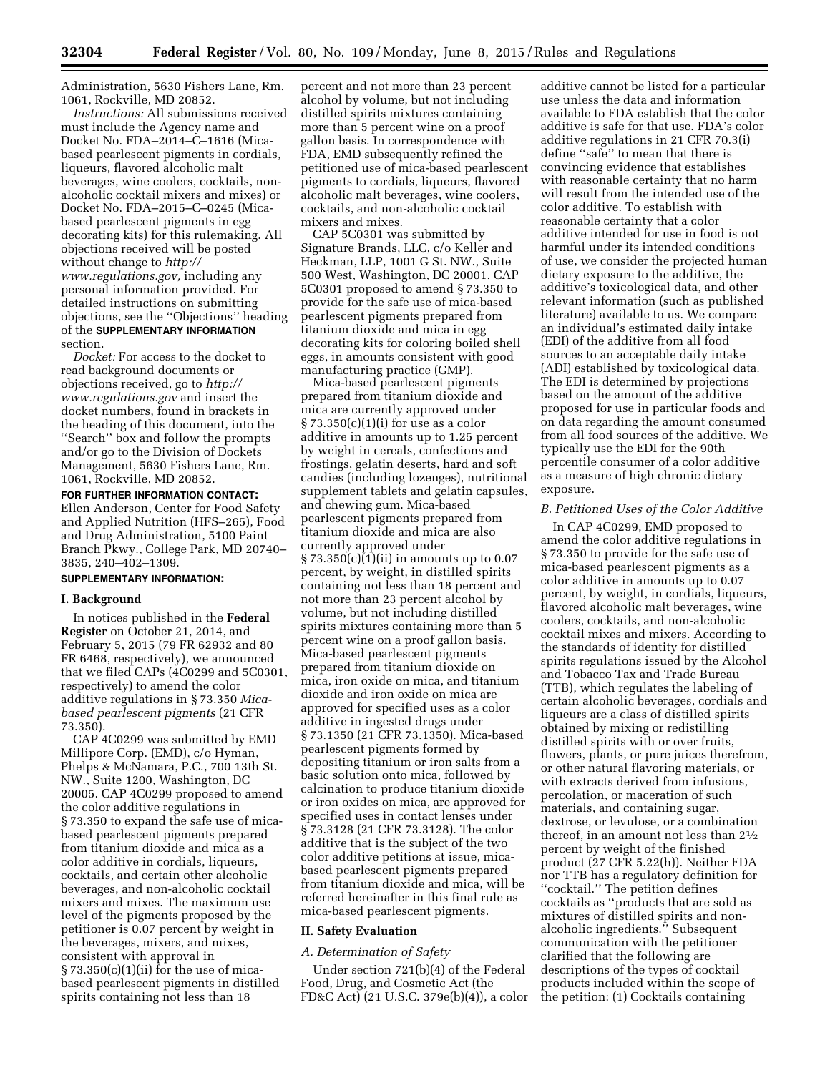Administration, 5630 Fishers Lane, Rm. 1061, Rockville, MD 20852.

*Instructions:* All submissions received must include the Agency name and Docket No. FDA–2014–C–1616 (Micabased pearlescent pigments in cordials, liqueurs, flavored alcoholic malt beverages, wine coolers, cocktails, nonalcoholic cocktail mixers and mixes) or Docket No. FDA–2015–C–0245 (Micabased pearlescent pigments in egg decorating kits) for this rulemaking. All objections received will be posted without change to *[http://](http://www.regulations.gov) [www.regulations.gov,](http://www.regulations.gov)* including any personal information provided. For detailed instructions on submitting objections, see the ''Objections'' heading of the **SUPPLEMENTARY INFORMATION** section.

*Docket:* For access to the docket to read background documents or objections received, go to *[http://](http://www.regulations.gov) [www.regulations.gov](http://www.regulations.gov)* and insert the docket numbers, found in brackets in the heading of this document, into the ''Search'' box and follow the prompts and/or go to the Division of Dockets Management, 5630 Fishers Lane, Rm. 1061, Rockville, MD 20852.

## **FOR FURTHER INFORMATION CONTACT:**  Ellen Anderson, Center for Food Safety and Applied Nutrition (HFS–265), Food and Drug Administration, 5100 Paint Branch Pkwy., College Park, MD 20740– 3835, 240–402–1309.

### **SUPPLEMENTARY INFORMATION:**

#### **I. Background**

In notices published in the **Federal Register** on October 21, 2014, and February 5, 2015 (79 FR 62932 and 80 FR 6468, respectively), we announced that we filed CAPs (4C0299 and 5C0301, respectively) to amend the color additive regulations in § 73.350 *Micabased pearlescent pigments* (21 CFR 73.350).

CAP 4C0299 was submitted by EMD Millipore Corp. (EMD), c/o Hyman, Phelps & McNamara, P.C., 700 13th St. NW., Suite 1200, Washington, DC 20005. CAP 4C0299 proposed to amend the color additive regulations in § 73.350 to expand the safe use of micabased pearlescent pigments prepared from titanium dioxide and mica as a color additive in cordials, liqueurs, cocktails, and certain other alcoholic beverages, and non-alcoholic cocktail mixers and mixes. The maximum use level of the pigments proposed by the petitioner is 0.07 percent by weight in the beverages, mixers, and mixes, consistent with approval in  $\S 73.350(c)(1)(ii)$  for the use of micabased pearlescent pigments in distilled spirits containing not less than 18

percent and not more than 23 percent alcohol by volume, but not including distilled spirits mixtures containing more than 5 percent wine on a proof gallon basis. In correspondence with FDA, EMD subsequently refined the petitioned use of mica-based pearlescent pigments to cordials, liqueurs, flavored alcoholic malt beverages, wine coolers, cocktails, and non-alcoholic cocktail mixers and mixes.

CAP 5C0301 was submitted by Signature Brands, LLC, c/o Keller and Heckman, LLP, 1001 G St. NW., Suite 500 West, Washington, DC 20001. CAP 5C0301 proposed to amend § 73.350 to provide for the safe use of mica-based pearlescent pigments prepared from titanium dioxide and mica in egg decorating kits for coloring boiled shell eggs, in amounts consistent with good manufacturing practice (GMP).

Mica-based pearlescent pigments prepared from titanium dioxide and mica are currently approved under § 73.350(c)(1)(i) for use as a color additive in amounts up to 1.25 percent by weight in cereals, confections and frostings, gelatin deserts, hard and soft candies (including lozenges), nutritional supplement tablets and gelatin capsules, and chewing gum. Mica-based pearlescent pigments prepared from titanium dioxide and mica are also currently approved under § 73.350(c)(1)(ii) in amounts up to 0.07 percent, by weight, in distilled spirits containing not less than 18 percent and not more than 23 percent alcohol by volume, but not including distilled spirits mixtures containing more than 5 percent wine on a proof gallon basis. Mica-based pearlescent pigments prepared from titanium dioxide on mica, iron oxide on mica, and titanium dioxide and iron oxide on mica are approved for specified uses as a color additive in ingested drugs under § 73.1350 (21 CFR 73.1350). Mica-based pearlescent pigments formed by depositing titanium or iron salts from a basic solution onto mica, followed by calcination to produce titanium dioxide or iron oxides on mica, are approved for specified uses in contact lenses under § 73.3128 (21 CFR 73.3128). The color additive that is the subject of the two color additive petitions at issue, micabased pearlescent pigments prepared from titanium dioxide and mica, will be referred hereinafter in this final rule as mica-based pearlescent pigments.

#### **II. Safety Evaluation**

#### *A. Determination of Safety*

Under section 721(b)(4) of the Federal Food, Drug, and Cosmetic Act (the FD&C Act) (21 U.S.C. 379e(b)(4)), a color

additive cannot be listed for a particular use unless the data and information available to FDA establish that the color additive is safe for that use. FDA's color additive regulations in 21 CFR 70.3(i) define ''safe'' to mean that there is convincing evidence that establishes with reasonable certainty that no harm will result from the intended use of the color additive. To establish with reasonable certainty that a color additive intended for use in food is not harmful under its intended conditions of use, we consider the projected human dietary exposure to the additive, the additive's toxicological data, and other relevant information (such as published literature) available to us. We compare an individual's estimated daily intake (EDI) of the additive from all food sources to an acceptable daily intake (ADI) established by toxicological data. The EDI is determined by projections based on the amount of the additive proposed for use in particular foods and on data regarding the amount consumed from all food sources of the additive. We typically use the EDI for the 90th percentile consumer of a color additive as a measure of high chronic dietary exposure.

# *B. Petitioned Uses of the Color Additive*

In CAP 4C0299, EMD proposed to amend the color additive regulations in § 73.350 to provide for the safe use of mica-based pearlescent pigments as a color additive in amounts up to 0.07 percent, by weight, in cordials, liqueurs, flavored alcoholic malt beverages, wine coolers, cocktails, and non-alcoholic cocktail mixes and mixers. According to the standards of identity for distilled spirits regulations issued by the Alcohol and Tobacco Tax and Trade Bureau (TTB), which regulates the labeling of certain alcoholic beverages, cordials and liqueurs are a class of distilled spirits obtained by mixing or redistilling distilled spirits with or over fruits, flowers, plants, or pure juices therefrom, or other natural flavoring materials, or with extracts derived from infusions, percolation, or maceration of such materials, and containing sugar, dextrose, or levulose, or a combination thereof, in an amount not less than 21⁄2 percent by weight of the finished product (27 CFR 5.22(h)). Neither FDA nor TTB has a regulatory definition for ''cocktail.'' The petition defines cocktails as ''products that are sold as mixtures of distilled spirits and nonalcoholic ingredients.'' Subsequent communication with the petitioner clarified that the following are descriptions of the types of cocktail products included within the scope of the petition: (1) Cocktails containing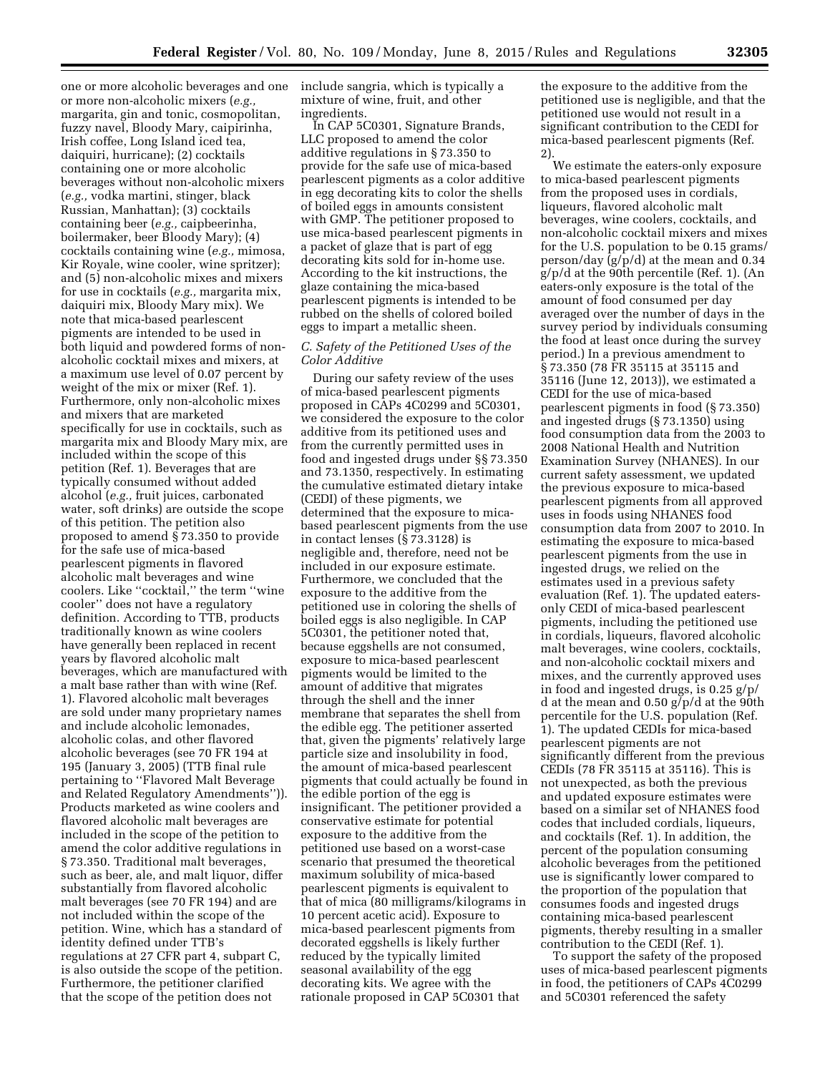one or more alcoholic beverages and one include sangria, which is typically a or more non-alcoholic mixers (*e.g.,*  margarita, gin and tonic, cosmopolitan, fuzzy navel, Bloody Mary, caipirinha, Irish coffee, Long Island iced tea, daiquiri, hurricane); (2) cocktails containing one or more alcoholic beverages without non-alcoholic mixers (*e.g.,* vodka martini, stinger, black Russian, Manhattan); (3) cocktails containing beer (*e.g.,* caipbeerinha, boilermaker, beer Bloody Mary); (4) cocktails containing wine (*e.g.,* mimosa, Kir Royale, wine cooler, wine spritzer); and (5) non-alcoholic mixes and mixers for use in cocktails (*e.g.,* margarita mix, daiquiri mix, Bloody Mary mix). We note that mica-based pearlescent pigments are intended to be used in both liquid and powdered forms of nonalcoholic cocktail mixes and mixers, at a maximum use level of 0.07 percent by weight of the mix or mixer (Ref. 1). Furthermore, only non-alcoholic mixes and mixers that are marketed specifically for use in cocktails, such as margarita mix and Bloody Mary mix, are included within the scope of this petition (Ref. 1). Beverages that are typically consumed without added alcohol (*e.g.,* fruit juices, carbonated water, soft drinks) are outside the scope of this petition. The petition also proposed to amend § 73.350 to provide for the safe use of mica-based pearlescent pigments in flavored alcoholic malt beverages and wine coolers. Like ''cocktail,'' the term ''wine cooler'' does not have a regulatory definition. According to TTB, products traditionally known as wine coolers have generally been replaced in recent years by flavored alcoholic malt beverages, which are manufactured with a malt base rather than with wine (Ref. 1). Flavored alcoholic malt beverages are sold under many proprietary names and include alcoholic lemonades, alcoholic colas, and other flavored alcoholic beverages (see 70 FR 194 at 195 (January 3, 2005) (TTB final rule pertaining to ''Flavored Malt Beverage and Related Regulatory Amendments'')). Products marketed as wine coolers and flavored alcoholic malt beverages are included in the scope of the petition to amend the color additive regulations in § 73.350. Traditional malt beverages, such as beer, ale, and malt liquor, differ substantially from flavored alcoholic malt beverages (see 70 FR 194) and are not included within the scope of the petition. Wine, which has a standard of identity defined under TTB's regulations at 27 CFR part 4, subpart C, is also outside the scope of the petition. Furthermore, the petitioner clarified that the scope of the petition does not

mixture of wine, fruit, and other ingredients.

In CAP 5C0301, Signature Brands, LLC proposed to amend the color additive regulations in § 73.350 to provide for the safe use of mica-based pearlescent pigments as a color additive in egg decorating kits to color the shells of boiled eggs in amounts consistent with GMP. The petitioner proposed to use mica-based pearlescent pigments in a packet of glaze that is part of egg decorating kits sold for in-home use. According to the kit instructions, the glaze containing the mica-based pearlescent pigments is intended to be rubbed on the shells of colored boiled eggs to impart a metallic sheen.

## *C. Safety of the Petitioned Uses of the Color Additive*

During our safety review of the uses of mica-based pearlescent pigments proposed in CAPs 4C0299 and 5C0301, we considered the exposure to the color additive from its petitioned uses and from the currently permitted uses in food and ingested drugs under §§ 73.350 and 73.1350, respectively. In estimating the cumulative estimated dietary intake (CEDI) of these pigments, we determined that the exposure to micabased pearlescent pigments from the use in contact lenses (§ 73.3128) is negligible and, therefore, need not be included in our exposure estimate. Furthermore, we concluded that the exposure to the additive from the petitioned use in coloring the shells of boiled eggs is also negligible. In CAP 5C0301, the petitioner noted that, because eggshells are not consumed, exposure to mica-based pearlescent pigments would be limited to the amount of additive that migrates through the shell and the inner membrane that separates the shell from the edible egg. The petitioner asserted that, given the pigments' relatively large particle size and insolubility in food, the amount of mica-based pearlescent pigments that could actually be found in the edible portion of the egg is insignificant. The petitioner provided a conservative estimate for potential exposure to the additive from the petitioned use based on a worst-case scenario that presumed the theoretical maximum solubility of mica-based pearlescent pigments is equivalent to that of mica (80 milligrams/kilograms in 10 percent acetic acid). Exposure to mica-based pearlescent pigments from decorated eggshells is likely further reduced by the typically limited seasonal availability of the egg decorating kits. We agree with the rationale proposed in CAP 5C0301 that

the exposure to the additive from the petitioned use is negligible, and that the petitioned use would not result in a significant contribution to the CEDI for mica-based pearlescent pigments (Ref. 2).

We estimate the eaters-only exposure to mica-based pearlescent pigments from the proposed uses in cordials, liqueurs, flavored alcoholic malt beverages, wine coolers, cocktails, and non-alcoholic cocktail mixers and mixes for the U.S. population to be 0.15 grams/ person/day (g/p/d) at the mean and 0.34 g/p/d at the 90th percentile (Ref. 1). (An eaters-only exposure is the total of the amount of food consumed per day averaged over the number of days in the survey period by individuals consuming the food at least once during the survey period.) In a previous amendment to § 73.350 (78 FR 35115 at 35115 and 35116 (June 12, 2013)), we estimated a CEDI for the use of mica-based pearlescent pigments in food (§ 73.350) and ingested drugs (§ 73.1350) using food consumption data from the 2003 to 2008 National Health and Nutrition Examination Survey (NHANES). In our current safety assessment, we updated the previous exposure to mica-based pearlescent pigments from all approved uses in foods using NHANES food consumption data from 2007 to 2010. In estimating the exposure to mica-based pearlescent pigments from the use in ingested drugs, we relied on the estimates used in a previous safety evaluation (Ref. 1). The updated eatersonly CEDI of mica-based pearlescent pigments, including the petitioned use in cordials, liqueurs, flavored alcoholic malt beverages, wine coolers, cocktails, and non-alcoholic cocktail mixers and mixes, and the currently approved uses in food and ingested drugs, is 0.25 g/p/ d at the mean and 0.50 g/p/d at the 90th percentile for the U.S. population (Ref. 1). The updated CEDIs for mica-based pearlescent pigments are not significantly different from the previous CEDIs (78 FR 35115 at 35116). This is not unexpected, as both the previous and updated exposure estimates were based on a similar set of NHANES food codes that included cordials, liqueurs, and cocktails (Ref. 1). In addition, the percent of the population consuming alcoholic beverages from the petitioned use is significantly lower compared to the proportion of the population that consumes foods and ingested drugs containing mica-based pearlescent pigments, thereby resulting in a smaller contribution to the CEDI (Ref. 1).

To support the safety of the proposed uses of mica-based pearlescent pigments in food, the petitioners of CAPs 4C0299 and 5C0301 referenced the safety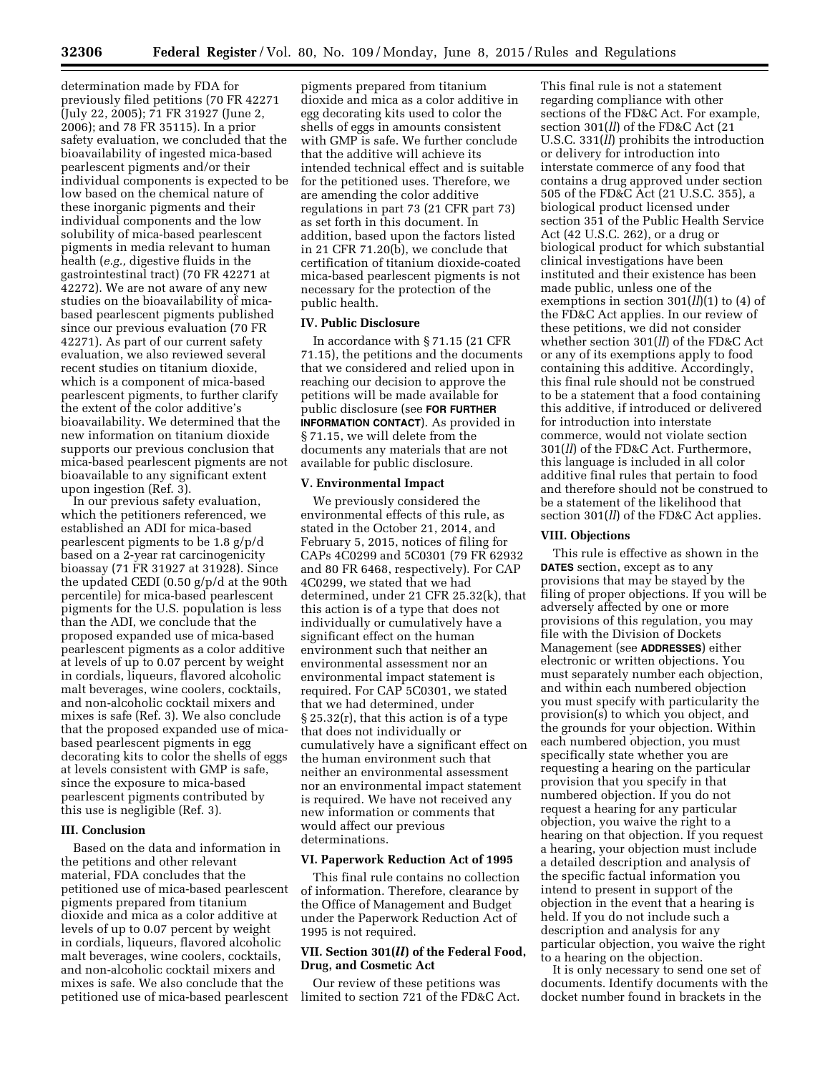determination made by FDA for previously filed petitions (70 FR 42271 (July 22, 2005); 71 FR 31927 (June 2, 2006); and 78 FR 35115). In a prior safety evaluation, we concluded that the bioavailability of ingested mica-based pearlescent pigments and/or their individual components is expected to be low based on the chemical nature of these inorganic pigments and their individual components and the low solubility of mica-based pearlescent pigments in media relevant to human health (*e.g.,* digestive fluids in the gastrointestinal tract) (70 FR 42271 at 42272). We are not aware of any new studies on the bioavailability of micabased pearlescent pigments published since our previous evaluation (70 FR 42271). As part of our current safety evaluation, we also reviewed several recent studies on titanium dioxide, which is a component of mica-based pearlescent pigments, to further clarify the extent of the color additive's bioavailability. We determined that the new information on titanium dioxide supports our previous conclusion that mica-based pearlescent pigments are not bioavailable to any significant extent upon ingestion (Ref. 3).

In our previous safety evaluation, which the petitioners referenced, we established an ADI for mica-based pearlescent pigments to be 1.8 g/p/d based on a 2-year rat carcinogenicity bioassay (71 FR 31927 at 31928). Since the updated CEDI (0.50 g/p/d at the 90th percentile) for mica-based pearlescent pigments for the U.S. population is less than the ADI, we conclude that the proposed expanded use of mica-based pearlescent pigments as a color additive at levels of up to 0.07 percent by weight in cordials, liqueurs, flavored alcoholic malt beverages, wine coolers, cocktails, and non-alcoholic cocktail mixers and mixes is safe (Ref. 3). We also conclude that the proposed expanded use of micabased pearlescent pigments in egg decorating kits to color the shells of eggs at levels consistent with GMP is safe, since the exposure to mica-based pearlescent pigments contributed by this use is negligible (Ref. 3).

### **III. Conclusion**

Based on the data and information in the petitions and other relevant material, FDA concludes that the petitioned use of mica-based pearlescent pigments prepared from titanium dioxide and mica as a color additive at levels of up to 0.07 percent by weight in cordials, liqueurs, flavored alcoholic malt beverages, wine coolers, cocktails, and non-alcoholic cocktail mixers and mixes is safe. We also conclude that the petitioned use of mica-based pearlescent

pigments prepared from titanium dioxide and mica as a color additive in egg decorating kits used to color the shells of eggs in amounts consistent with GMP is safe. We further conclude that the additive will achieve its intended technical effect and is suitable for the petitioned uses. Therefore, we are amending the color additive regulations in part 73 (21 CFR part 73) as set forth in this document. In addition, based upon the factors listed in 21 CFR 71.20(b), we conclude that certification of titanium dioxide-coated mica-based pearlescent pigments is not necessary for the protection of the public health.

### **IV. Public Disclosure**

In accordance with § 71.15 (21 CFR 71.15), the petitions and the documents that we considered and relied upon in reaching our decision to approve the petitions will be made available for public disclosure (see **FOR FURTHER INFORMATION CONTACT**). As provided in § 71.15, we will delete from the documents any materials that are not available for public disclosure.

#### **V. Environmental Impact**

We previously considered the environmental effects of this rule, as stated in the October 21, 2014, and February 5, 2015, notices of filing for CAPs 4C0299 and 5C0301 (79 FR 62932 and 80 FR 6468, respectively). For CAP 4C0299, we stated that we had determined, under 21 CFR 25.32(k), that this action is of a type that does not individually or cumulatively have a significant effect on the human environment such that neither an environmental assessment nor an environmental impact statement is required. For CAP 5C0301, we stated that we had determined, under § 25.32(r), that this action is of a type that does not individually or cumulatively have a significant effect on the human environment such that neither an environmental assessment nor an environmental impact statement is required. We have not received any new information or comments that would affect our previous determinations.

#### **VI. Paperwork Reduction Act of 1995**

This final rule contains no collection of information. Therefore, clearance by the Office of Management and Budget under the Paperwork Reduction Act of 1995 is not required.

## **VII. Section 301(***ll***) of the Federal Food, Drug, and Cosmetic Act**

Our review of these petitions was limited to section 721 of the FD&C Act.

This final rule is not a statement regarding compliance with other sections of the FD&C Act. For example, section 301(*ll*) of the FD&C Act (21 U.S.C. 331(*ll*) prohibits the introduction or delivery for introduction into interstate commerce of any food that contains a drug approved under section 505 of the FD&C Act (21 U.S.C. 355), a biological product licensed under section 351 of the Public Health Service Act (42 U.S.C. 262), or a drug or biological product for which substantial clinical investigations have been instituted and their existence has been made public, unless one of the exemptions in section 301(*ll*)(1) to (4) of the FD&C Act applies. In our review of these petitions, we did not consider whether section 301(*ll*) of the FD&C Act or any of its exemptions apply to food containing this additive. Accordingly, this final rule should not be construed to be a statement that a food containing this additive, if introduced or delivered for introduction into interstate commerce, would not violate section 301(*ll*) of the FD&C Act. Furthermore, this language is included in all color additive final rules that pertain to food and therefore should not be construed to be a statement of the likelihood that section 301(*ll*) of the FD&C Act applies.

### **VIII. Objections**

This rule is effective as shown in the **DATES** section, except as to any provisions that may be stayed by the filing of proper objections. If you will be adversely affected by one or more provisions of this regulation, you may file with the Division of Dockets Management (see **ADDRESSES**) either electronic or written objections. You must separately number each objection, and within each numbered objection you must specify with particularity the provision(s) to which you object, and the grounds for your objection. Within each numbered objection, you must specifically state whether you are requesting a hearing on the particular provision that you specify in that numbered objection. If you do not request a hearing for any particular objection, you waive the right to a hearing on that objection. If you request a hearing, your objection must include a detailed description and analysis of the specific factual information you intend to present in support of the objection in the event that a hearing is held. If you do not include such a description and analysis for any particular objection, you waive the right to a hearing on the objection.

It is only necessary to send one set of documents. Identify documents with the docket number found in brackets in the